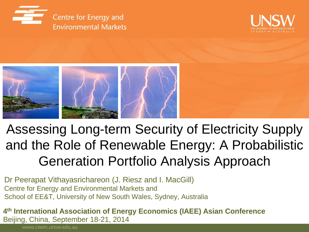





#### Assessing Long-term Security of Electricity Supply and the Role of Renewable Energy: A Probabilistic Generation Portfolio Analysis Approach

Dr Peerapat Vithayasrichareon (J. Riesz and I. MacGill) Centre for Energy and Environmental Markets and School of EE&T, University of New South Wales, Sydney, Australia

**4 th International Association of Energy Economics (IAEE) Asian Conference** Beijing, China, September 18-21, 2014

www.ceem.unsw.edu.au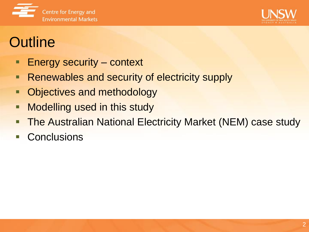



# **Outline**

- **Energy security context**
- **Renewables and security of electricity supply**
- **Objectives and methodology**
- **Nodelling used in this study**
- The Australian National Electricity Market (NEM) case study
- **Conclusions**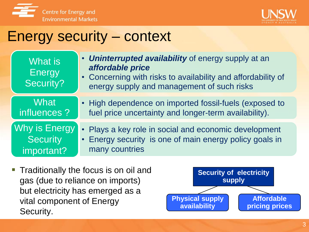



#### Energy security – context

| What is<br><b>Energy</b><br><b>Security?</b> | <b>Uninterrupted availability</b> of energy supply at an<br>affordable price<br>• Concerning with risks to availability and affordability of<br>energy supply and management of such risks |
|----------------------------------------------|--------------------------------------------------------------------------------------------------------------------------------------------------------------------------------------------|
| <b>What</b>                                  | • High dependence on imported fossil-fuels (exposed to                                                                                                                                     |
| influences ?                                 | fuel price uncertainty and longer-term availability).                                                                                                                                      |
|                                              | • Plays a key role in social and economic development                                                                                                                                      |
| <b>Security</b>                              | Energy security is one of main energy policy goals in                                                                                                                                      |
| important?                                   | many countries                                                                                                                                                                             |

 Traditionally the focus is on oil and gas (due to reliance on imports) but electricity has emerged as a vital component of Energy Security.

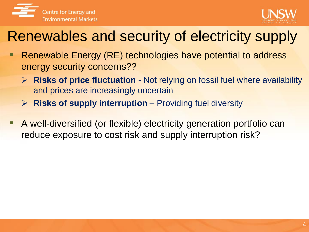



### Renewables and security of electricity supply

- **Renewable Energy (RE) technologies have potential to address** energy security concerns??
	- **Risks of price fluctuation**  Not relying on fossil fuel where availability and prices are increasingly uncertain
	- **Risks of supply interruption**  Providing fuel diversity
- A well-diversified (or flexible) electricity generation portfolio can reduce exposure to cost risk and supply interruption risk?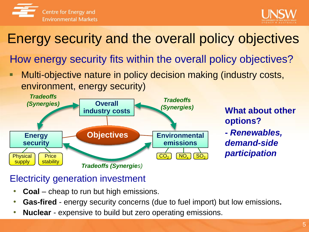



#### Energy security and the overall policy objectives

How energy security fits within the overall policy objectives?

**• Multi-objective nature in policy decision making (industry costs,** environment, energy security)



**What about other options? -** *Renewables, demand-side participation*

#### Electricity generation investment

- **Coal**  cheap to run but high emissions.
- **Gas-fired**  energy security concerns (due to fuel import) but low emissions**.**
- **Nuclear** expensive to build but zero operating emissions.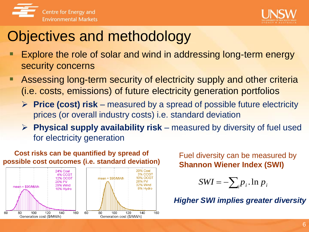



#### Objectives and methodology

- **Explore the role of solar and wind in addressing long-term energy** security concerns
- Assessing long-term security of electricity supply and other criteria (i.e. costs, emissions) of future electricity generation portfolios
	- **Price (cost) risk**  measured by a spread of possible future electricity prices (or overall industry costs) i.e. standard deviation
	- **Physical supply availability risk**  measured by diversity of fuel used for electricity generation



Fuel diversity can be measured by **Shannon Wiener Index (SWI)**

$$
SWI = -\sum_{i} p_i \cdot \ln p_i
$$

*Higher SWI implies greater diversity*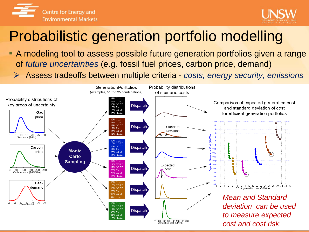



# Probabilistic generation portfolio modelling

- A modeling tool to assess possible future generation portfolios given a range of *future uncertainties* (e.g. fossil fuel prices, carbon price, demand)
	- Assess tradeoffs between multiple criteria *costs, energy security, emissions*

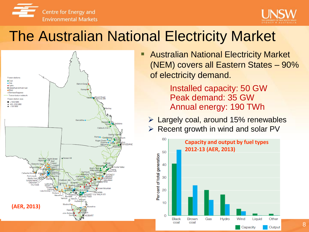



#### The Australian National Electricity Market



**Australian National Electricity Market** (NEM) covers all Eastern States – 90% of electricity demand.

> Installed capacity: 50 GW Peak demand: 35 GW Annual energy: 190 TWh

 $\triangleright$  Largely coal, around 15% renewables

 $\triangleright$  Recent growth in wind and solar PV

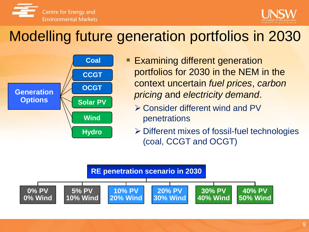



# Modelling future generation portfolios in 2030



- **Examining different generation** portfolios for 2030 in the NEM in the context uncertain *fuel prices*, *carbon pricing* and *electricity demand*.
	- Consider different wind and PV penetrations
	- Different mixes of fossil-fuel technologies (coal, CCGT and OCGT)

#### **RE penetration scenario in 2030 0% PV 0% Wind 5% PV 10% Wind 10% PV 20% Wind 20% PV 30% Wind 30% PV 40% Wind 40% PV 50% Wind**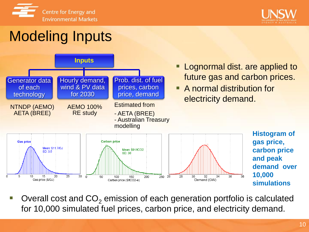



# Modeling Inputs



**Histogram of gas price, carbon price and peak demand over 10,000 simulations**

Overall cost and  $CO<sub>2</sub>$  emission of each generation portfolio is calculated for 10,000 simulated fuel prices, carbon price, and electricity demand.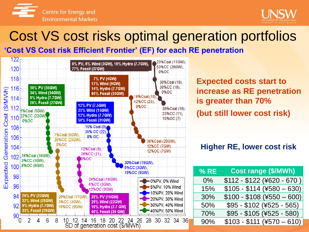



### Cost VS cost risks optimal generation portfolios

**'Cost VS Cost risk Efficient Frontier' (EF) for each RE penetration**



**Expected costs start to increase as RE penetration is greater than 70% (but still lower cost risk)** 

#### **Higher RE, lower cost risk**

| % RE  | <b>Cost range (\$/MWh)</b>  |
|-------|-----------------------------|
| $0\%$ | $$112 - $122 ($620 - 670 )$ |
| 15%   | $$105 - $114 ($4580 - 630)$ |
| 30%   | $$100 - $108 ($4550 - 600)$ |
| 50%   | $$95 - $102 ($4525 - 565)$  |
| 70%   | \$95 - \$105 (¥525 - 580)   |
| 90%   | $$103 - $111 (+570 - 610)$  |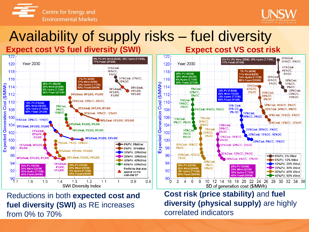



#### Availability of supply risks – fuel diversity **Expect cost VS fuel diversity (SWI) Expect cost VS cost risk**



Reductions in both **expected cost and fuel diversity (SWI)** as RE increases from 0% to 70%



**Cost risk (price stability)** and **fuel diversity (physical supply)** are highly correlated indicators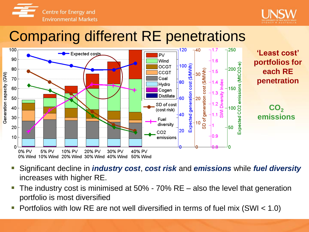



#### Comparing different RE penetrations



- Significant decline in *industry cost*, *cost risk* and *emissions* while *fuel diversity*  increases with higher RE.
- The industry cost is minimised at 50% 70% RE also the level that generation portfolio is most diversified
- Portfolios with low RE are not well diversified in terms of fuel mix (SWI < 1.0)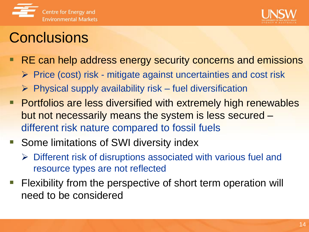



#### **Conclusions**

- RE can help address energy security concerns and emissions
	- $\triangleright$  Price (cost) risk mitigate against uncertainties and cost risk
	- $\triangleright$  Physical supply availability risk fuel diversification
- **Portfolios are less diversified with extremely high renewables** but not necessarily means the system is less secured – different risk nature compared to fossil fuels
- Some limitations of SWI diversity index
	- $\triangleright$  Different risk of disruptions associated with various fuel and resource types are not reflected
- Flexibility from the perspective of short term operation will need to be considered